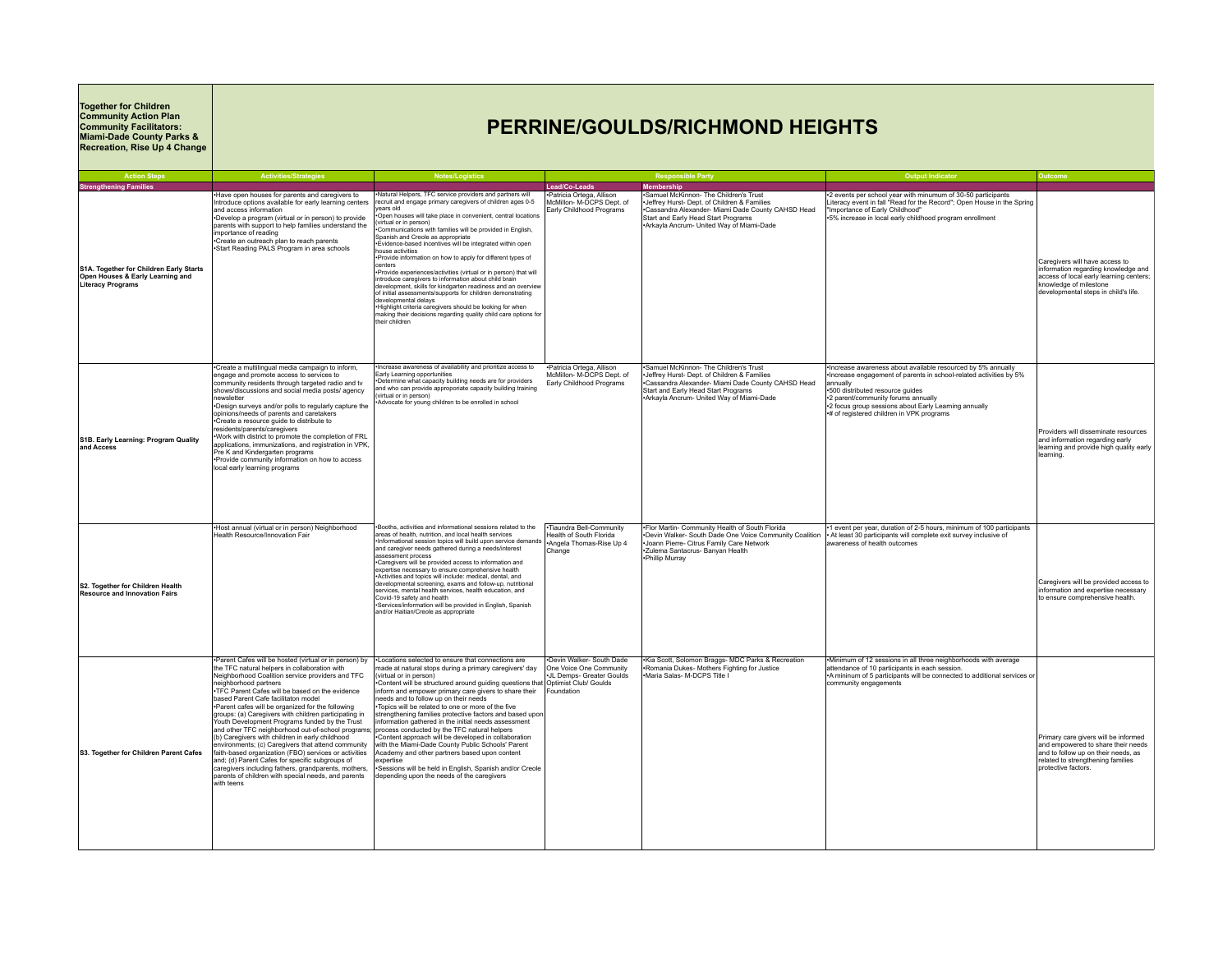## **Together for Children Community Action Plan Community Facilitators: Miami-Dade County Parks & Recreation, Rise Up 4 Change**

## **PERRINE/GOULDS/RICHMOND HEIGHTS**

| <b>Action Steps</b>                                                                                     | <b>Activities/Strategies</b>                                                                                                                                                                                                                                                                                                                                                                                                                                                                                                                                                                                                                                                                                                                                                                                                                         | <b>Notes/Logistics</b>                                                                                                                                                                                                                                                                                                                                                                                                                                                                                                                                                                                                                                                                                                                                                                                                                                                                                                       |                                                                                                | <b>Responsible Party</b>                                                                                                                                                                                                      | <b>Output Indicator</b>                                                                                                                                                                                                                                                                                                        | Outcome                                                                                                                                                                            |
|---------------------------------------------------------------------------------------------------------|------------------------------------------------------------------------------------------------------------------------------------------------------------------------------------------------------------------------------------------------------------------------------------------------------------------------------------------------------------------------------------------------------------------------------------------------------------------------------------------------------------------------------------------------------------------------------------------------------------------------------------------------------------------------------------------------------------------------------------------------------------------------------------------------------------------------------------------------------|------------------------------------------------------------------------------------------------------------------------------------------------------------------------------------------------------------------------------------------------------------------------------------------------------------------------------------------------------------------------------------------------------------------------------------------------------------------------------------------------------------------------------------------------------------------------------------------------------------------------------------------------------------------------------------------------------------------------------------------------------------------------------------------------------------------------------------------------------------------------------------------------------------------------------|------------------------------------------------------------------------------------------------|-------------------------------------------------------------------------------------------------------------------------------------------------------------------------------------------------------------------------------|--------------------------------------------------------------------------------------------------------------------------------------------------------------------------------------------------------------------------------------------------------------------------------------------------------------------------------|------------------------------------------------------------------------------------------------------------------------------------------------------------------------------------|
| <b>Strengthening Families</b>                                                                           |                                                                                                                                                                                                                                                                                                                                                                                                                                                                                                                                                                                                                                                                                                                                                                                                                                                      |                                                                                                                                                                                                                                                                                                                                                                                                                                                                                                                                                                                                                                                                                                                                                                                                                                                                                                                              | Lead/Co-Leads                                                                                  | <b>Membership</b>                                                                                                                                                                                                             |                                                                                                                                                                                                                                                                                                                                |                                                                                                                                                                                    |
| S1A. Together for Children Early Starts<br>Open Houses & Early Learning and<br><b>Literacy Programs</b> | Have open houses for parents and caregivers to<br>Introduce options available for early learning centers<br>and access information<br>+Develop a program (virtual or in person) to provide<br>parents with support to help families understand the<br>importance of reading<br>Create an outreach plan to reach parents<br>·Start Reading PALS Program in area schools                                                                                                                                                                                                                                                                                                                                                                                                                                                                               | Natural Helpers, TFC service providers and partners will<br>recruit and engage primary caregivers of children ages 0-5<br>ears old<br>Open houses will take place in convenient, central locations<br>(virtual or in person)<br>Communications with families will be provided in English,<br>Spanish and Creole as appropriate<br>Evidence-based incentives will be integrated within open<br>house activities<br>•Provide information on how to apply for different types of<br>centers<br>*Provide experiences/activities (virtual or in person) that will<br>introduce caregivers to information about child brain<br>development, skills for kindgarten readiness and an overview<br>of initial assessments/supports for children demonstrating<br>developmental delays<br>Highlight criteria caregivers should be looking for when<br>making their decisions regarding quality child care options for<br>their children | Patricia Ortega, Allison<br>McMillon- M-DCPS Dept. of<br>Early Childhood Programs              | Samuel McKinnon- The Children's Trust<br>Jeffrey Hurst- Dept. of Children & Families<br>Cassandra Alexander- Miami Dade County CAHSD Head<br>Start and Early Head Start Programs<br>·Arkayla Ancrum- United Way of Miami-Dade | *2 events per school year with minumum of 30-50 participants<br>Literacy event in fall "Read for the Record"; Open House in the Spring<br>"Importance of Early Childhood"<br>+5% increase in local early childhood program enrollment                                                                                          | Caregivers will have access to<br>information regarding knowledge and<br>access of local early learning centers;<br>knowledge of milestone<br>developmental steps in child's life. |
| S1B. Early Learning: Program Quality<br>and Access                                                      | •Create a multilingual media campaign to inform,<br>engage and promote access to services to<br>community residents through targeted radio and tv<br>shows/discussions and social media posts/ agency<br>newsletter<br>•Design surveys and/or polls to regularly capture the<br>opinions/needs of parents and caretakers<br>•Create a resource quide to distribute to<br>esidents/parents/caregivers<br>. Work with district to promote the completion of FRL<br>applications, immunizations, and registration in VPK,<br>Pre K and Kindergarten programs<br>·Provide community information on how to access<br>local early learning programs                                                                                                                                                                                                        | Increase awareness of availability and prioritize access to<br>Early Learning opportunities<br>Determine what capacity building needs are for providers<br>and who can provide approporiate capacity building training<br>virtual or in person)<br>Advocate for young children to be enrolled in school                                                                                                                                                                                                                                                                                                                                                                                                                                                                                                                                                                                                                      | *Patricia Ortega, Allison<br>McMillon- M-DCPS Dept. of<br>Early Childhood Programs             | Samuel McKinnon- The Children's Trust<br>Jeffrey Hurst- Dept. of Children & Families<br>Cassandra Alexander- Miami Dade County CAHSD Head<br>Start and Early Head Start Programs<br>+Arkavla Ancrum- United Wav of Miami-Dade | ·Increase awareness about available resourced by 5% annually<br>Increase engagement of parents in school-related activities by 5%<br>lannually<br>+500 distributed resource quides<br>+2 parent/community forums annually<br>+2 focus group sessions about Early Learning annually<br># of registered children in VPK programs | Providers will disseminate resources<br>and information regarding early<br>learning and provide high quality early<br>learning.                                                    |
| S2. Together for Children Health<br>Resource and Innovation Fairs                                       | +Host annual (virtual or in person) Neighborhood<br>Health Resource/Innovation Fair                                                                                                                                                                                                                                                                                                                                                                                                                                                                                                                                                                                                                                                                                                                                                                  | -Booths, activities and informational sessions related to the<br>areas of health, nutrition, and local health services<br>Informational session topics will build upon service demands<br>and caregiver needs gathered during a needs/interest<br>assessment process<br>•Caregivers will be provided access to information and<br>expertise necessary to ensure comprehensive health<br>*Activities and topics will include: medical, dental, and<br>developmental screening, exams and follow-up, nutritional<br>services, mental health services, health education, and<br>Covid-19 safety and health<br>-Services/information will be provided in English, Spanish<br>and/or Haitian/Creole as appropriate                                                                                                                                                                                                                | ·Tiaundra Bell-Community<br>Health of South Florida<br>*Angela Thomas-Rise Up 4<br>Change      | .Flor Martin- Community Health of South Florida<br>*Devin Walker- South Dade One Voice Community Coalition<br>Joann Pierre- Citrus Family Care Network<br>*Zulema Santacrus- Banyan Health<br>•Phillip Murray                 | •1 event per year, duration of 2-5 hours, minimum of 100 participants<br>• At least 30 participants will complete exit survey inclusive of<br>awareness of health outcomes                                                                                                                                                     | Caregivers will be provided access to<br>information and expertise necessary<br>to ensure comprehensive health.                                                                    |
| S3. Together for Children Parent Cafes                                                                  | .Parent Cafes will be hosted (virtual or in person) by<br>the TFC natural helpers in collaboration with<br>Neighborhood Coalition service providers and TFC<br>neighborhood partners<br>•TFC Parent Cafes will be based on the evidence<br>based Parent Cafe facilitaton model<br>-Parent cafes will be organized for the following<br>groups: (a) Caregivers with children participating in<br>Youth Development Programs funded by the Trust<br>and other TFC neighborhood out-of-school program<br>(b) Caregivers with children in early childhood<br>environments; (c) Caregivers that attend community<br>faith-based organization (FBO) services or activities<br>and; (d) Parent Cafes for specific subgroups of<br>caregivers including fathers, grandparents, mothers,<br>parents of children with special needs, and parents<br>with teens | -Locations selected to ensure that connections are<br>nade at natural stops during a primary caregivers' day<br>virtual or in person)<br>Content will be structured around guiding questions that Optimist Club/ Goulds<br>inform and empower primary care givers to share their<br>reeds and to follow up on their needs<br>Topics will be related to one or more of the five<br>strengthening families protective factors and based upon<br>information gathered in the initial needs assessment<br>process conducted by the TFC natural helpers<br>Content approach will be developed in collaboration<br>with the Miami-Dade County Public Schools' Parent<br>Academy and other partners based upon content<br>expertise<br>*Sessions will be held in English, Spanish and/or Creole<br>depending upon the needs of the caregivers                                                                                       | *Devin Walker- South Dade<br>One Voice One Community<br>JL Demps- Greater Goulds<br>Foundation | .Kia Scott, Solomon Braggs- MDC Parks & Recreation<br>Romania Dukes- Mothers Fighting for Justice<br>Maria Salas- M-DCPS Title I                                                                                              | -Minimum of 12 sessions in all three neighborhoods with average<br>attendance of 10 participants in each session.<br>•A mininum of 5 participants will be connected to additional services or<br>community engagements                                                                                                         | Primary care givers will be informed<br>and empowered to share their needs<br>and to follow up on their needs, as<br>related to strengthening families<br>protective factors.      |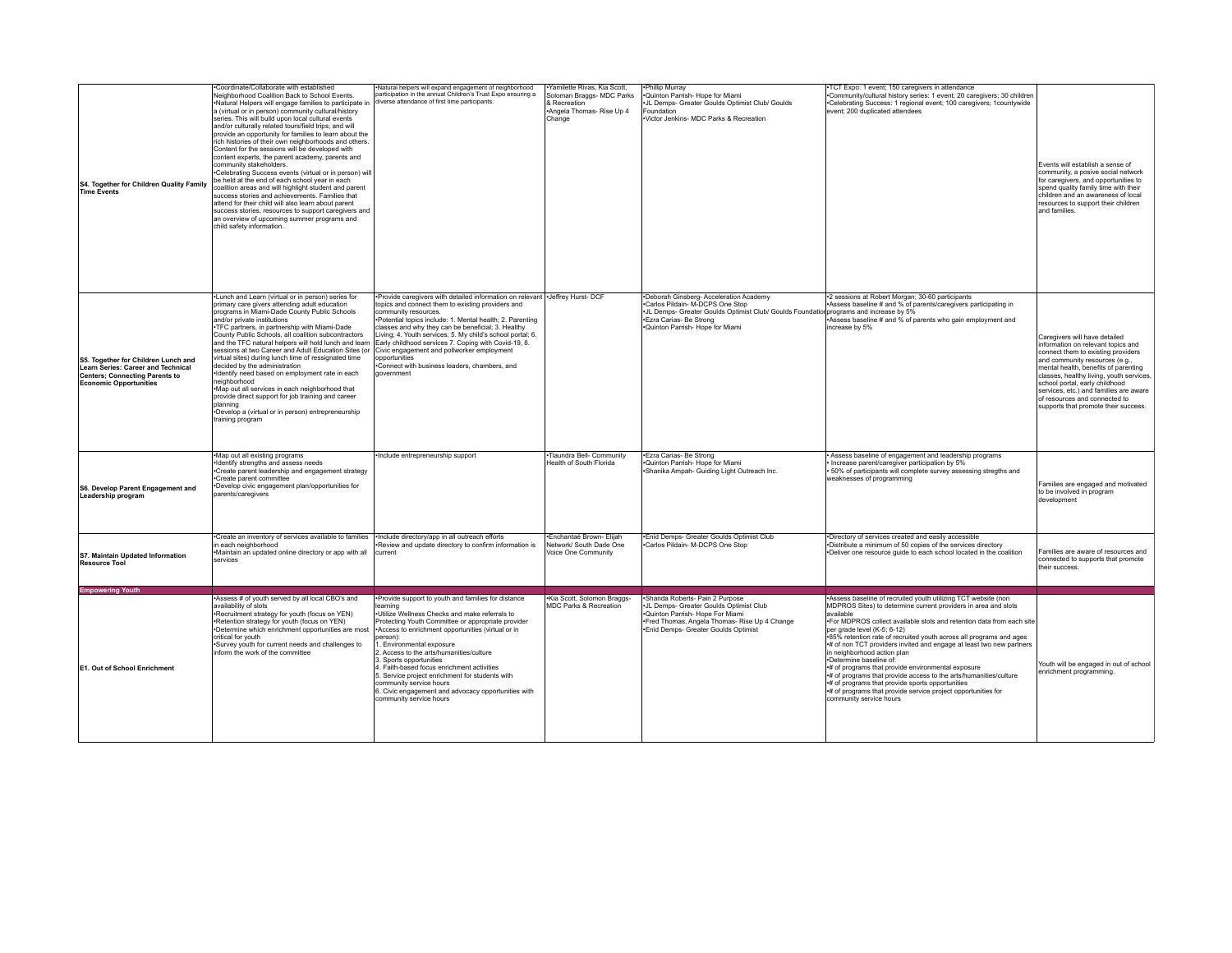| S4. Together for Children Quality Family<br><b>Time Events</b>                                                                                      | Coordinate/Collaborate with established<br>Neighborhood Coalition Back to School Events.<br>.Natural Helpers will engage families to participate in<br>a (virtual or in person) community cultural/history<br>series. This will build upon local cultural events<br>and/or culturally related tours/field trips; and will<br>provide an opportunity for families to learn about the<br>rich histories of their own neighborhoods and others.<br>Content for the sessions will be developed with<br>content experts, the parent academy, parents and<br>community stakeholders.<br>•Celebrating Success events (virtual or in person) will<br>be held at the end of each school year in each<br>coalition areas and will highlight student and parent<br>success stories and achievements. Families that<br>attend for their child will also learn about parent<br>success stories, resources to support caregivers and<br>an overview of upcoming summer programs and<br>child safety information. | Natural helpers will expand engagement of neighborhood<br>participation in the annual Children's Trust Expo ensuring a<br>diverse attendance of first time participants.                                                                                                                                                                                                                                                                                                                                                                               | ·Yamilette Rivas, Kia Scott,<br>Soloman Braggs- MDC Parks<br>& Recreation<br>+Angela Thomas- Rise Up 4<br>Change | -Phillip Murray<br>*Quinton Parrish- Hope for Miami<br>JL Demps- Greater Goulds Optimist Club/ Goulds<br>Foundation<br>Victor Jenkins- MDC Parks & Recreation                                                                       | *TCT Expo: 1 event; 150 caregivers in attendance<br>*Community/cultural history series: 1 event; 20 caregivers; 30 children<br>.Celebrating Success: 1 regional event; 100 caregivers; 1countywide<br>event; 200 duplicated attendees                                                                                                                                                                                                                                                                                                                                                                                                                                                                                                  | Events will establish a sense of<br>community, a posive social network<br>for caregivers, and opportunities to<br>spend quality family time with their<br>children and an awareness of local<br>resources to support their children<br>and families.                                                                                                                                 |
|-----------------------------------------------------------------------------------------------------------------------------------------------------|----------------------------------------------------------------------------------------------------------------------------------------------------------------------------------------------------------------------------------------------------------------------------------------------------------------------------------------------------------------------------------------------------------------------------------------------------------------------------------------------------------------------------------------------------------------------------------------------------------------------------------------------------------------------------------------------------------------------------------------------------------------------------------------------------------------------------------------------------------------------------------------------------------------------------------------------------------------------------------------------------|--------------------------------------------------------------------------------------------------------------------------------------------------------------------------------------------------------------------------------------------------------------------------------------------------------------------------------------------------------------------------------------------------------------------------------------------------------------------------------------------------------------------------------------------------------|------------------------------------------------------------------------------------------------------------------|-------------------------------------------------------------------------------------------------------------------------------------------------------------------------------------------------------------------------------------|----------------------------------------------------------------------------------------------------------------------------------------------------------------------------------------------------------------------------------------------------------------------------------------------------------------------------------------------------------------------------------------------------------------------------------------------------------------------------------------------------------------------------------------------------------------------------------------------------------------------------------------------------------------------------------------------------------------------------------------|--------------------------------------------------------------------------------------------------------------------------------------------------------------------------------------------------------------------------------------------------------------------------------------------------------------------------------------------------------------------------------------|
| S5. Together for Children Lunch and<br>Learn Series: Career and Technical<br><b>Centers: Connecting Parents to</b><br><b>Economic Opportunities</b> | .Lunch and Learn (virtual or in person) series for<br>primary care givers attending adult education<br>programs in Miami-Dade County Public Schools<br>and/or private institutions<br>.TFC partners, in partnership with Miami-Dade<br>County Public Schools, all coalition subcontractors<br>and the TFC natural helpers will hold lunch and learn<br>sessions at two Career and Adult Education Sites (or<br>virtual sites) during lunch time of ressignated time<br>decided by the administration<br>·Identify need based on employment rate in each<br>neighborhood<br>•Map out all services in each neighborhood that<br>provide direct support for job training and career<br>planning<br>*Develop a (virtual or in person) entrepreneurship<br>training program                                                                                                                                                                                                                             | •Provide caregivers with detailed information on relevant   •Jeffrey Hurst- DCF<br>topics and connect them to existing providers and<br>community resources.<br>•Potential topics include: 1. Mental health: 2. Parenting<br>classes and why they can be beneficial; 3. Healthy<br>Living; 4. Youth services; 5. My child's school portal; 6.<br>Early childhood services 7. Coping with Covid-19, 8.<br>Civic engagement and pollworker employment<br>opportunities<br>Connect with business leaders, chambers, and<br>government                     |                                                                                                                  | .Deborah Ginsberg- Acceleration Academy<br>.Carlos Pildain- M-DCPS One Stop<br>*JL Demps- Greater Goulds Optimist Club/ Goulds Foundation programs and increase by 5%<br>Ezra Carias- Be Strong<br>-Quinton Parrish- Hope for Miami | •2 sessions at Robert Morgan: 30-60 participants<br>*Assess baseline # and % of parents/caregivers participating in<br>+Assess baseline # and % of parents who gain employment and<br>increase by 5%                                                                                                                                                                                                                                                                                                                                                                                                                                                                                                                                   | Caregivers will have detailed<br>information on relevant topics and<br>connect them to existing providers<br>and community resources (e.g.,<br>mental health, benefits of parenting<br>classes, healthy living, youth services,<br>school portal, early childhood<br>services, etc.) and families are aware<br>of resources and connected to<br>supports that promote their success. |
| S6. Develop Parent Engagement and<br>Leadership program                                                                                             | •Map out all existing programs<br>Identify strengths and assess needs<br>•Create parent leadership and engagement strategy<br>•Create parent committee<br>*Develop civic engagement plan/opportunities for<br>parents/caregivers                                                                                                                                                                                                                                                                                                                                                                                                                                                                                                                                                                                                                                                                                                                                                                   | ·Include entrepreneurship support                                                                                                                                                                                                                                                                                                                                                                                                                                                                                                                      | Tiaundra Bell- Community<br>Health of South Florida                                                              | -Ezra Carias- Be Strong<br>.Quinton Parrish- Hope for Miami<br>*Shanika Ampah- Guiding Light Outreach Inc.                                                                                                                          | Assess baseline of engagement and leadership programs<br>Increase parent/caregiver participation by 5%<br>50% of participants will complete survey assessing stregths and<br>weaknesses of programming                                                                                                                                                                                                                                                                                                                                                                                                                                                                                                                                 | Families are engaged and motivated<br>to be involved in program<br>development                                                                                                                                                                                                                                                                                                       |
| S7. Maintain Updated Information<br><b>Resource Tool</b>                                                                                            | *Create an inventory of services available to families<br>in each neighborhood<br>•Maintain an updated online directory or app with all<br>services                                                                                                                                                                                                                                                                                                                                                                                                                                                                                                                                                                                                                                                                                                                                                                                                                                                | ·Include directory/app in all outreach efforts<br>Review and update directory to confirm information is<br>current                                                                                                                                                                                                                                                                                                                                                                                                                                     | ·Enchantaé Brown- Elijah<br>Network/ South Dade One<br>Voice One Community                                       | .Enid Demps- Greater Goulds Optimist Club<br>.Carlos Pildain- M-DCPS One Stop                                                                                                                                                       | ·Directory of services created and easily accessible<br>*Distribute a minimum of 50 copies of the services directory<br>. Deliver one resource guide to each school located in the coalition                                                                                                                                                                                                                                                                                                                                                                                                                                                                                                                                           | Families are aware of resources and<br>connected to supports that promote<br>their success.                                                                                                                                                                                                                                                                                          |
| <b>Empowering Youth</b>                                                                                                                             |                                                                                                                                                                                                                                                                                                                                                                                                                                                                                                                                                                                                                                                                                                                                                                                                                                                                                                                                                                                                    |                                                                                                                                                                                                                                                                                                                                                                                                                                                                                                                                                        |                                                                                                                  | ·Shanda Roberts- Pain 2 Purpose                                                                                                                                                                                                     |                                                                                                                                                                                                                                                                                                                                                                                                                                                                                                                                                                                                                                                                                                                                        |                                                                                                                                                                                                                                                                                                                                                                                      |
| E1. Out of School Enrichment                                                                                                                        | Assess # of youth served by all local CBO's and<br>availability of slots<br>*Recruitment strategy for youth (focus on YEN)<br>•Retention strategy for youth (focus on YEN)<br>•Determine which enrichment opportunities are most<br>critical for youth<br>·Survey youth for current needs and challenges to<br>inform the work of the committee                                                                                                                                                                                                                                                                                                                                                                                                                                                                                                                                                                                                                                                    | *Provide support to youth and families for distance<br>learning<br>•Utilize Wellness Checks and make referrals to<br>Protecting Youth Committee or appropriate provider<br>Access to enrichment opportunities (virtual or in<br>nerson):<br>. Environmental exposure<br>Access to the arts/humanities/culture<br>3. Sports opportunities<br>4. Faith-based focus enrichment activities<br>5. Service project enrichment for students with<br>community service hours<br>6. Civic engagement and advocacy opportunities with<br>community service hours | •Kia Scott, Solomon Braggs-<br><b>MDC Parks &amp; Recreation</b>                                                 | •JL Demps- Greater Goulds Optimist Club<br>*Quinton Parrish- Hope For Miami<br>.Fred Thomas, Angela Thomas- Rise Up 4 Change<br>·Enid Demps- Greater Goulds Optimist                                                                | *Assess baseline of recruited youth utilizing TCT website (non<br>MDPROS Sites) to determine current providers in area and slots<br>available<br>. For MDPROS collect available slots and retention data from each site<br>per grade level (K-5; 6-12)<br>+85% retention rate of recruited youth across all programs and ages<br># of non TCT providers invited and engage at least two new partners<br>in neighborhood action plan<br>-Determine baseline of:<br># of programs that provide environmental exposure<br># of programs that provide access to the arts/humanities/culture<br>*# of programs that provide sports opportunities<br># of programs that provide service project opportunities for<br>community service hours | Youth will be engaged in out of school<br>enrichment programming.                                                                                                                                                                                                                                                                                                                    |